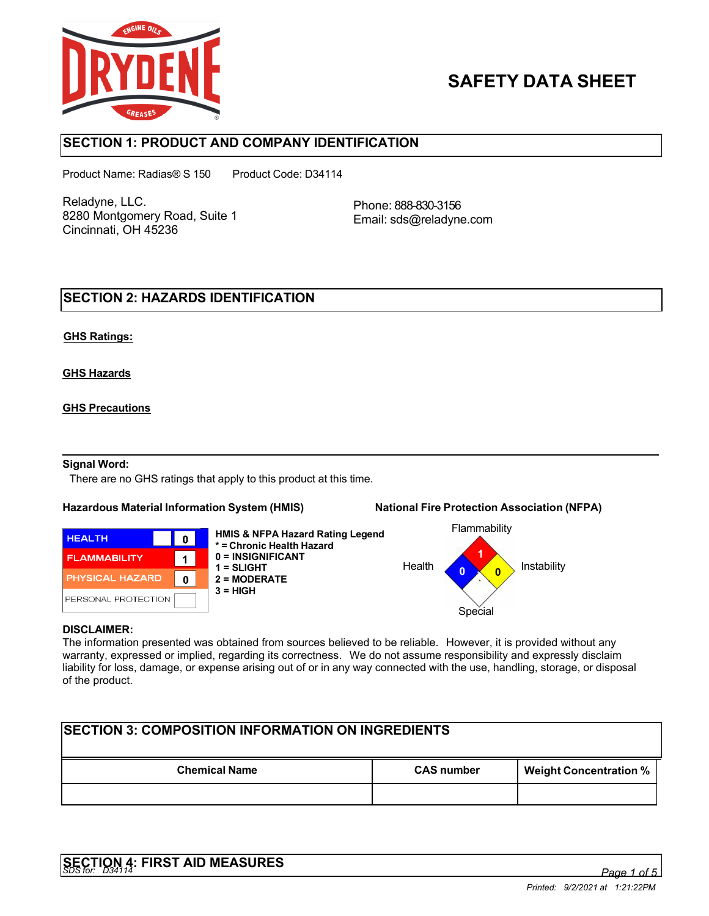

# **SAFETY DATA SHEET**

## **SECTION 1: PRODUCT AND COMPANY IDENTIFICATION**

Product Name: Radias® S 150 Product Code: D34114

Reladyne, LLC. 8280 Montgomery Road, Suite 1 Cincinnati, OH 45236

Phone: 888-830-3156 Email: sds@reladyne.com

## **SECTION 2: HAZARDS IDENTIFICATION**

### **GHS Ratings:**

**GHS Hazards**

### **GHS Precautions**

### **Signal Word:**

There are no GHS ratings that apply to this product at this time.

#### **Hazardous Material Information System (HMIS) National Fire Protection Association (NFPA)**

**HEALTH**  $\mathbf 0$ **FLAMMABILITY**  $\mathbf{1}$ **PHYSICAL HAZARD**  $\mathbf 0$ PERSONAL PROTECTION

**HMIS & NFPA Hazard Rating Legend \* = Chronic Health Hazard 0 = INSIGNIFICANT 1 = SLIGHT 2 = MODERATE 3 = HIGH**





#### **DISCLAIMER:**

The information presented was obtained from sources believed to be reliable. However, it is provided without any warranty, expressed or implied, regarding its correctness. We do not assume responsibility and expressly disclaim liability for loss, damage, or expense arising out of or in any way connected with the use, handling, storage, or disposal of the product.

| <b>ISECTION 3: COMPOSITION INFORMATION ON INGREDIENTS</b> |                   |                               |  |
|-----------------------------------------------------------|-------------------|-------------------------------|--|
| <b>Chemical Name</b>                                      | <b>CAS</b> number | <b>Weight Concentration %</b> |  |
|                                                           |                   |                               |  |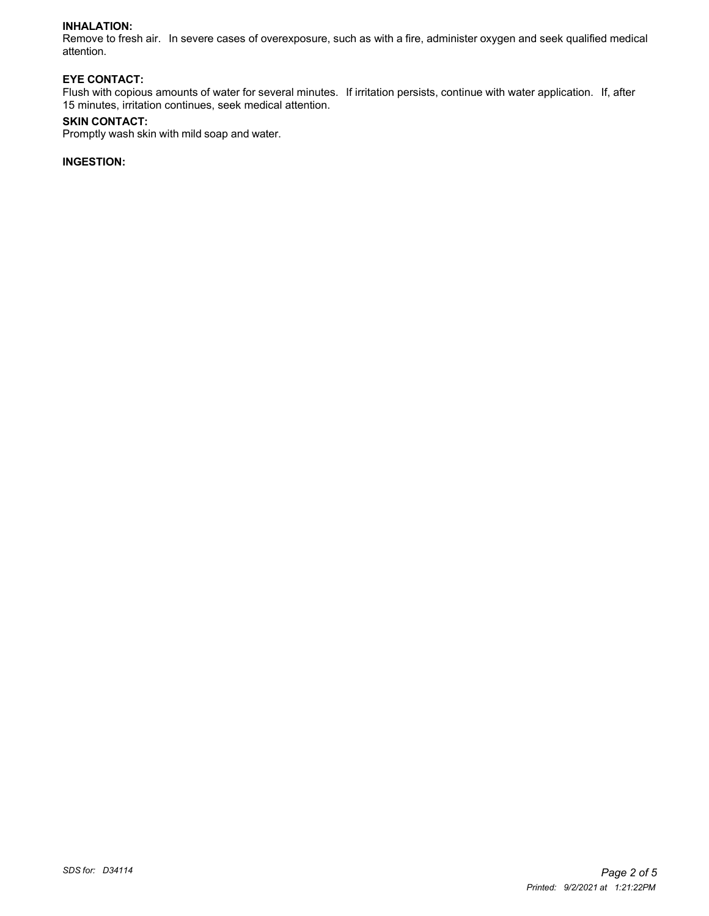#### **INHALATION:**

Remove to fresh air. In severe cases of overexposure, such as with a fire, administer oxygen and seek qualified medical attention.

#### **EYE CONTACT:**

Flush with copious amounts of water for several minutes. If irritation persists, continue with water application. If, after 15 minutes, irritation continues, seek medical attention.

#### **SKIN CONTACT:**

Promptly wash skin with mild soap and water.

### **INGESTION:**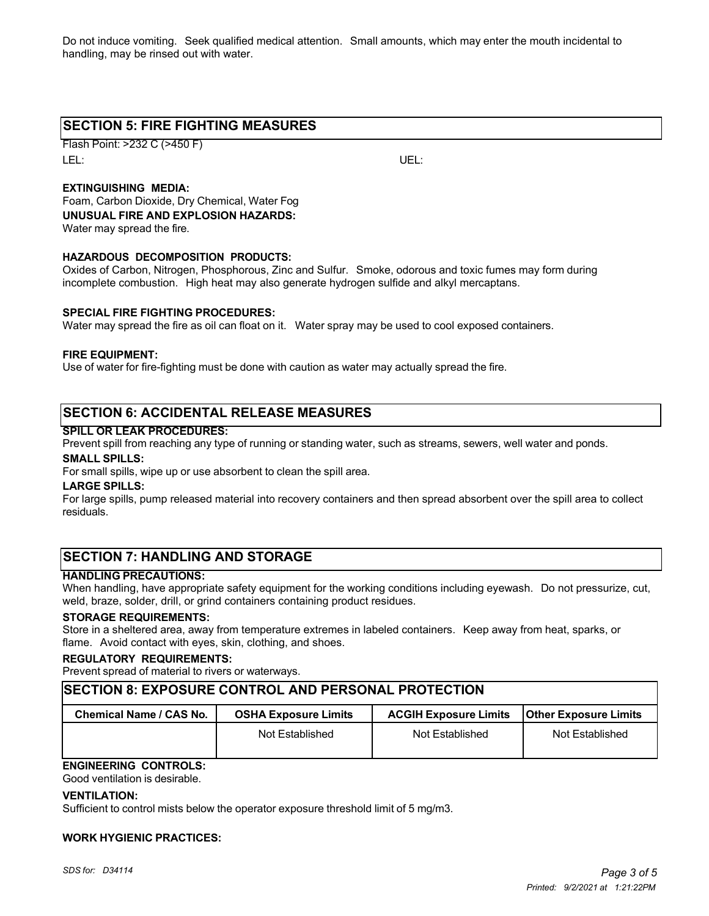Do not induce vomiting. Seek qualified medical attention. Small amounts, which may enter the mouth incidental to handling, may be rinsed out with water.

## **SECTION 5: FIRE FIGHTING MEASURES**

Flash Point: >232 C (>450 F) LEL: UEL:

### **EXTINGUISHING MEDIA:**

Foam, Carbon Dioxide, Dry Chemical, Water Fog **UNUSUAL FIRE AND EXPLOSION HAZARDS:** Water may spread the fire.

#### **HAZARDOUS DECOMPOSITION PRODUCTS:**

Oxides of Carbon, Nitrogen, Phosphorous, Zinc and Sulfur. Smoke, odorous and toxic fumes may form during incomplete combustion. High heat may also generate hydrogen sulfide and alkyl mercaptans.

#### **SPECIAL FIRE FIGHTING PROCEDURES:**

Water may spread the fire as oil can float on it. Water spray may be used to cool exposed containers.

#### **FIRE EQUIPMENT:**

Use of water for fire-fighting must be done with caution as water may actually spread the fire.

## **SECTION 6: ACCIDENTAL RELEASE MEASURES**

#### **SPILL OR LEAK PROCEDURES:**

Prevent spill from reaching any type of running or standing water, such as streams, sewers, well water and ponds.

#### **SMALL SPILLS:**

For small spills, wipe up or use absorbent to clean the spill area.

#### **LARGE SPILLS:**

For large spills, pump released material into recovery containers and then spread absorbent over the spill area to collect residuals.

## **SECTION 7: HANDLING AND STORAGE**

#### **HANDLING PRECAUTIONS:**

When handling, have appropriate safety equipment for the working conditions including eyewash. Do not pressurize, cut, weld, braze, solder, drill, or grind containers containing product residues.

#### **STORAGE REQUIREMENTS:**

Store in a sheltered area, away from temperature extremes in labeled containers. Keep away from heat, sparks, or flame. Avoid contact with eyes, skin, clothing, and shoes.

#### **REGULATORY REQUIREMENTS:**

Prevent spread of material to rivers or waterways.

#### **SECTION 8: EXPOSURE CONTROL AND PERSONAL PROTECTION**

| Chemical Name / CAS No. | <b>OSHA Exposure Limits</b> | <b>ACGIH Exposure Limits</b> | <b>Other Exposure Limits</b> |
|-------------------------|-----------------------------|------------------------------|------------------------------|
|                         | Not Established             | Not Established              | Not Established              |

## **ENGINEERING CONTROLS:**

Good ventilation is desirable.

#### **VENTILATION:**

Sufficient to control mists below the operator exposure threshold limit of 5 mg/m3.

#### **WORK HYGIENIC PRACTICES:**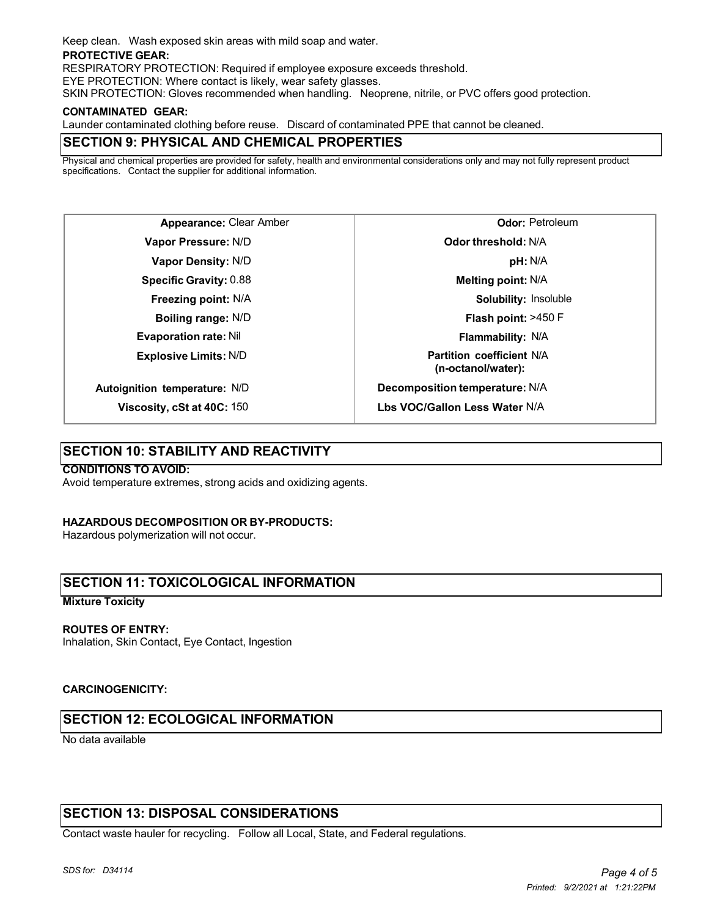Keep clean. Wash exposed skin areas with mild soap and water.

#### **PROTECTIVE GEAR:**

RESPIRATORY PROTECTION: Required if employee exposure exceeds threshold.

EYE PROTECTION: Where contact is likely, wear safety glasses.

SKIN PROTECTION: Gloves recommended when handling. Neoprene, nitrile, or PVC offers good protection.

#### **CONTAMINATED GEAR:**

Launder contaminated clothing before reuse. Discard of contaminated PPE that cannot be cleaned.

## **SECTION 9: PHYSICAL AND CHEMICAL PROPERTIES**

Physical and chemical properties are provided for safety, health and environmental considerations only and may not fully represent product specifications. Contact the supplier for additional information.

**Appearance:** Clear Amber **Vapor Pressure:** N/D **Vapor Density:** N/D **Specific Gravity:** 0.88 **Freezing point:** N/A **Boiling range:** N/D **Evaporation rate:** Nil **Explosive Limits:** N/D **Autoignition temperature:** N/D

**Viscosity, cSt at 40C:** 150

**Odor:** Petroleum **Odor threshold:** N/A **pH:** N/A **Melting point:** N/A **Solubility:** Insoluble **Flash point:** >450 F **Flammability:** N/A **Partition coefficient** N/A **(n-octanol/water): Decomposition temperature:** N/A **Lbs VOC/Gallon Less Water** N/A

**SECTION 10: STABILITY AND REACTIVITY**

## **CONDITIONS TO AVOID:**

Avoid temperature extremes, strong acids and oxidizing agents.

#### **HAZARDOUS DECOMPOSITION OR BY-PRODUCTS:**

Hazardous polymerization will not occur.

## **SECTION 11: TOXICOLOGICAL INFORMATION**

#### **Mixture Toxicity**

#### **ROUTES OF ENTRY:**

Inhalation, Skin Contact, Eye Contact, Ingestion

#### **CARCINOGENICITY:**

## **SECTION 12: ECOLOGICAL INFORMATION**

No data available

## **SECTION 13: DISPOSAL CONSIDERATIONS**

Contact waste hauler for recycling. Follow all Local, State, and Federal regulations.